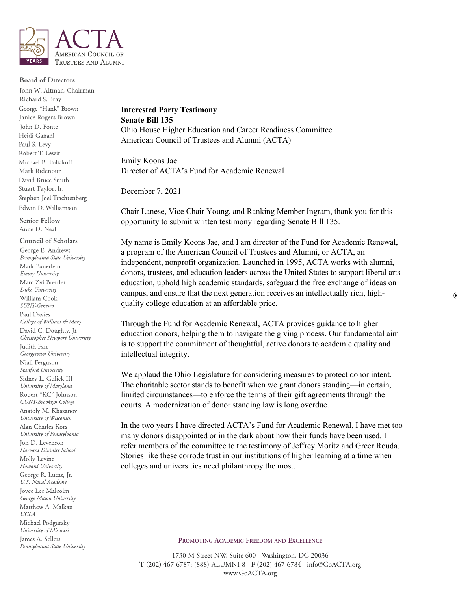

## **Board of Directors**

John W. Altman, ChairmanRichard S. Bray George "Hank" Brown Janice Rogers Brown John D. Fonte Heidi Ganahl Paul S. Levy Robert T. Lewit Michael B. Poliakoff Mark Ridenour David Bruce Smith Stuart Taylor, Jr. Stephen Joel Trachtenberg Edwin D. Williamson

Council of Scholars

Senior Fellow Anne D. Neal

George E. Andrews Pennsylvania State University Mark Bauerlein Emory University Marc Zvi Brettler Duke University William Cook SUNY-Geneseo Paul Davies College of William & Mary David C. Doughty, Jr. Christopher Newport University **Iudith Farr** Georgetown University Niall Ferguson Stanford University Sidney L. Gulick III University of Maryland Robert "KC" Johnson CUNY-Brooklyn College Anatoly M. Khazanov University of Wisconsin Alan Charles Kors University of Pennsylvania Jon D. Levenson Harvard Divinity School Molly Levine Howard University George R. Lucas, Jr. U.S. Naval Academy **Joyce Lee Malcolm** George Mason University Matthew A. Malkan  $\it UCLA$ Michael Podgursky University of Missouri James A. Sellers Pennsylvania State University

## **Interested Party Testimony Senate Bill 135**  Ohio House Higher Education and Career Readiness Committee American Council of Trustees and Alumni (ACTA)

Emily Koons Jae Director of ACTA's Fund for Academic Renewal

December 7, 2021

Chair Lanese, Vice Chair Young, and Ranking Member Ingram, thank you for this opportunity to submit written testimony regarding Senate Bill 135.

My name is Emily Koons Jae, and I am director of the Fund for Academic Renewal, a program of the American Council of Trustees and Alumni, or ACTA, an independent, nonprofit organization. Launched in 1995, ACTA works with alumni, donors, trustees, and education leaders across the United States to support liberal arts education, uphold high academic standards, safeguard the free exchange of ideas on campus, and ensure that the next generation receives an intellectually rich, highquality college education at an affordable price.

Through the Fund for Academic Renewal, ACTA provides guidance to higher education donors, helping them to navigate the giving process. Our fundamental aim is to support the commitment of thoughtful, active donors to academic quality and intellectual integrity.

We applaud the Ohio Legislature for considering measures to protect donor intent. The charitable sector stands to benefit when we grant donors standing—in certain, limited circumstances—to enforce the terms of their gift agreements through the courts. A modernization of donor standing law is long overdue.

In the two years I have directed ACTA's Fund for Academic Renewal, I have met too many donors disappointed or in the dark about how their funds have been used. I refer members of the committee to the testimony of Jeffrey Moritz and Greer Rouda. Stories like these corrode trust in our institutions of higher learning at a time when colleges and universities need philanthropy the most.

## **PROMOTING ACADEMIC FREEDOM AND EXCELLENCE**

1730 M Street NW, Suite 600 Washington, DC 20036 **T** (202) 467-6787; (888) ALUMNI-8 **F** (202) 467-6784 info@GoACTA.org www.GoACTA.org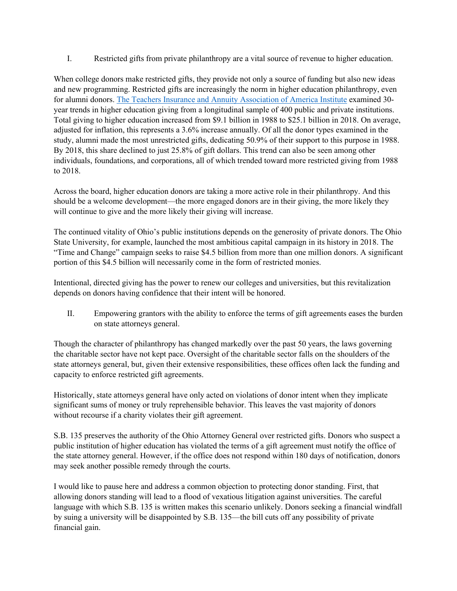I. Restricted gifts from private philanthropy are a vital source of revenue to higher education.

When college donors make restricted gifts, they provide not only a source of funding but also new ideas and new programming. Restricted gifts are increasingly the norm in higher education philanthropy, even for alumni donors. The [Teachers Insurance and Annuity Association of America Institute](https://www.tiaainstitute.org/sites/default/files/presentations/2020-03/TIAA%20Institute_How%20donors%20give%20to%20higher%20education_RD_Shaker_March%202020_1.pdf) examined 30 year trends in higher education giving from a longitudinal sample of 400 public and private institutions. Total giving to higher education increased from \$9.1 billion in 1988 to \$25.1 billion in 2018. On average, adjusted for inflation, this represents a 3.6% increase annually. Of all the donor types examined in the study, alumni made the most unrestricted gifts, dedicating 50.9% of their support to this purpose in 1988. By 2018, this share declined to just 25.8% of gift dollars. This trend can also be seen among other individuals, foundations, and corporations, all of which trended toward more restricted giving from 1988 to 2018.

Across the board, higher education donors are taking a more active role in their philanthropy. And this should be a welcome development—the more engaged donors are in their giving, the more likely they will continue to give and the more likely their giving will increase.

The continued vitality of Ohio's public institutions depends on the generosity of private donors. The Ohio State University, for example, launched the most ambitious capital campaign in its history in 2018. The "Time and Change" campaign seeks to raise \$4.5 billion from more than one million donors. A significant portion of this \$4.5 billion will necessarily come in the form of restricted monies.

Intentional, directed giving has the power to renew our colleges and universities, but this revitalization depends on donors having confidence that their intent will be honored.

II. Empowering grantors with the ability to enforce the terms of gift agreements eases the burden on state attorneys general.

Though the character of philanthropy has changed markedly over the past 50 years, the laws governing the charitable sector have not kept pace. Oversight of the charitable sector falls on the shoulders of the state attorneys general, but, given their extensive responsibilities, these offices often lack the funding and capacity to enforce restricted gift agreements.

Historically, state attorneys general have only acted on violations of donor intent when they implicate significant sums of money or truly reprehensible behavior. This leaves the vast majority of donors without recourse if a charity violates their gift agreement.

S.B. 135 preserves the authority of the Ohio Attorney General over restricted gifts. Donors who suspect a public institution of higher education has violated the terms of a gift agreement must notify the office of the state attorney general. However, if the office does not respond within 180 days of notification, donors may seek another possible remedy through the courts.

I would like to pause here and address a common objection to protecting donor standing. First, that allowing donors standing will lead to a flood of vexatious litigation against universities. The careful language with which S.B. 135 is written makes this scenario unlikely. Donors seeking a financial windfall by suing a university will be disappointed by S.B. 135—the bill cuts off any possibility of private financial gain.